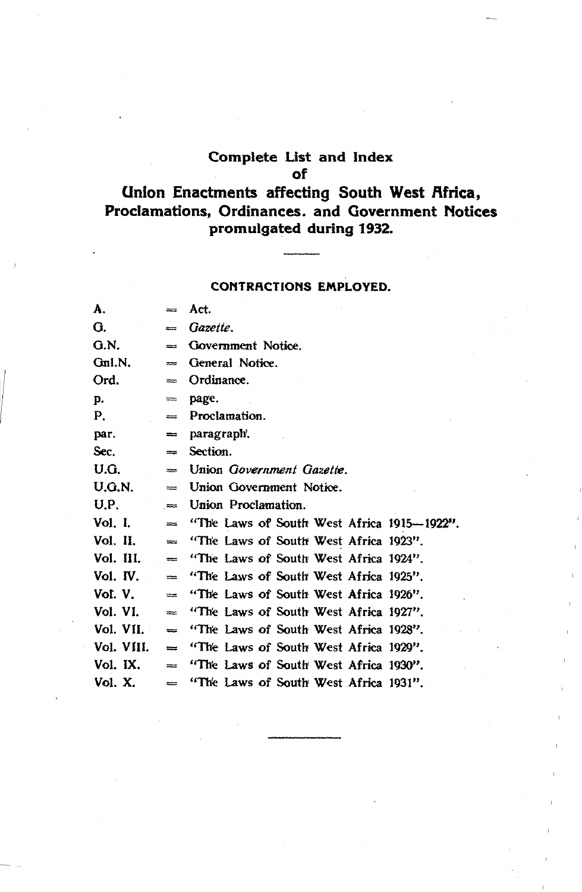#### Complete Ust and Index of

### Union Enactments affecting South West Africa, Proclamations, Ordinances. and Government Notices promulgated during 1932.

#### CONTRACTIONS EMPLOYED.

| A.         | $=$      | Act.                                       |
|------------|----------|--------------------------------------------|
| G.         | $=$      | Gazette.                                   |
| G.N.       | $=$      | Government Notice.                         |
| Gnl.N.     | $=$      | General Notice.                            |
| Ord.       | $=$      | Ordinance.                                 |
| p.         | $=$      | page.                                      |
| P.         | $=$      | Proclamation.                              |
| par.       | $=$      | paragraph.                                 |
| Sec.       | $=$      | Section.                                   |
| U.G.       | $=$      | Union Government Gazette.                  |
| U.G.N.     | $=$      | Union Government Notice.                   |
| U.P.       | $=$      | Union Proclamation.                        |
| Vol. I.    | $=$      | "The Laws of South West Africa 1915-1922". |
| Vol. II.   | $=$      | "The Laws of South West Africa 1923".      |
| Vol. III.  | $=$      | "The Laws of South West Africa 1924".      |
| Vol. IV.   | $\equiv$ | "The Laws of South West Africa 1925".      |
| Vol. V.    | $=$      | "The Laws of South West Africa 1926".      |
| Vol. VI.   | $=$      | "The Laws of South West Africa 1927".      |
| Vol. VII.  | $=$      | "The Laws of South West Africa 1928".      |
| Vol. VIII. | $\equiv$ | "The Laws of South West Africa 1929".      |
| Vol. IX.   | ≔        | "The Laws of South West Africa 1930".      |
| Vol. X.    | $=$      | "The Laws of South West Africa 1931".      |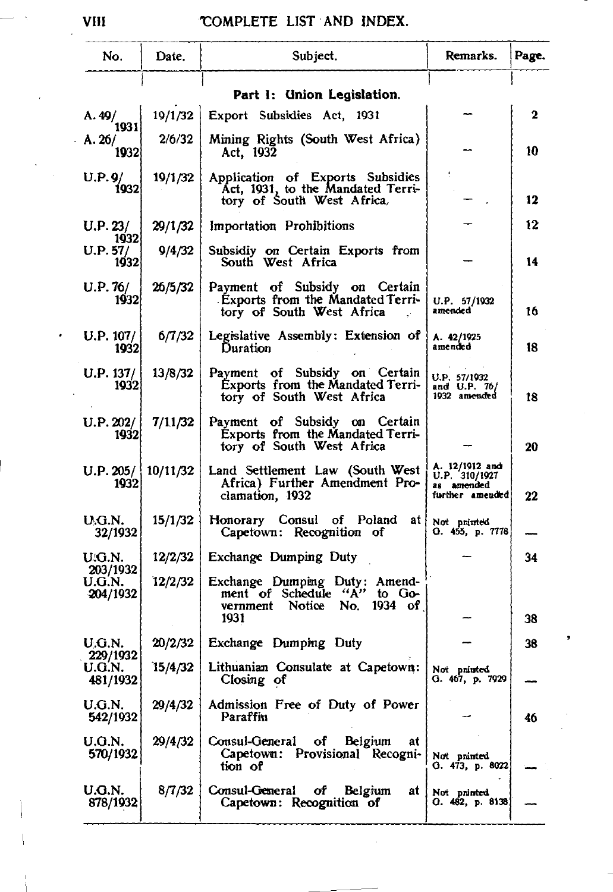| No.                            | Date.    | Subject.                                                                                                 | Remarks.                                                         | Page. |
|--------------------------------|----------|----------------------------------------------------------------------------------------------------------|------------------------------------------------------------------|-------|
|                                |          | Part 1: Union Legislation.                                                                               |                                                                  |       |
| A.49/                          | 19/1/32  | Export Subsidies Act, 1931                                                                               |                                                                  | 2     |
| 1931<br>A.26/<br>1932          | 2/6/32   | Mining Rights (South West Africa)<br>Act, 1932                                                           |                                                                  | 10    |
| U.P.9/<br>1932                 | 19/1/32  | Application of Exports Subsidies<br>Act, 1931, to the Mandated Terri-<br>tory of South West Africa,      |                                                                  | 12    |
| U.P. 23/                       | 29/1/32  | Importation Prohibitions                                                                                 |                                                                  | 12    |
| 1932<br>U.P. 57/<br>1932       | 9/4/32   | Subsidiy on Certain Exports from<br>South West Africa                                                    |                                                                  | 14    |
| U.P. 76/<br>1932               | 26/5/32  | Payment of Subsidy on Certain<br>Exports from the Mandated Terri-<br>tory of South West Africa           | U.P. 57/1932<br>amended                                          | 16    |
| U.P. 107/<br>1932              | 6/7/32   | Legislative Assembly: Extension of<br>Duration                                                           | A. 42/1925<br>amended                                            | 18    |
| U.P. 137/<br>1932              | 13/8/32  | Payment of Subsidy on Certain<br>Exports from the Mandated Terri-<br>tory of South West Africa           | U.P. 57/1932<br>and U.P. 76/<br>1932 amended                     | 18    |
| U.P. 202/<br>1932              | 7/11/32  | Payment of Subsidy on<br>Certain<br>Exports from the Mandated Terri-<br>tory of South West Africa        |                                                                  | 20    |
| U.P. 205/<br>1932              | 10/11/32 | Land Settlement Law (South West<br>Africa) Further Amendment Pro-<br>clamation, 1932                     | A. 12/1912 and<br>U.P. 310/1927<br>as amended<br>further amended | 22    |
| U.G.N.<br>32/1932              | 15/1/32  | Honorary Consul of Poland<br>atl<br>Capetown: Recognition of                                             | Not printed<br>O. 455, p. 7778                                   |       |
| U.G.N.                         | 12/2/32  | Exchange Dumping Duty                                                                                    |                                                                  | 34    |
| 203/1932<br>U.G.N.<br>204/1932 | 12/2/32  | Exchange Dumping Duty: Amend-<br>ment of Schedule "A" to Go-<br>vernment Notice No.<br>$1934$ of<br>1931 |                                                                  | 38    |
| U.G.N.                         | 20/2/32  | Exchange Dumping Duty                                                                                    |                                                                  | 38    |
| 229/1932<br>U.G.N.<br>481/1932 | 15/4/32  | Lithuanian Consulate at Capetown:<br>Closing of                                                          | Not pninted<br>G. 467, p. 7929                                   |       |
| U.G.N.<br>542/1932             | 29/4/32  | Admission Free of Duty of Power<br>Paraffin                                                              |                                                                  | 46    |
| U.G.N.<br>570/1932             | 29/4/32  | Consul-General of<br>Belgium<br>at<br>Capetown: Provisional Recogni-<br>tion of                          | Not pninted<br>G. 473, p. 8022                                   |       |
| U.G.N.<br>878/1932             | 8/7/32   | Consul-General<br>of Belgium<br>at<br>Capetown: Recognition of                                           | Not pninted<br>O. 482, p. 8138                                   |       |

VIII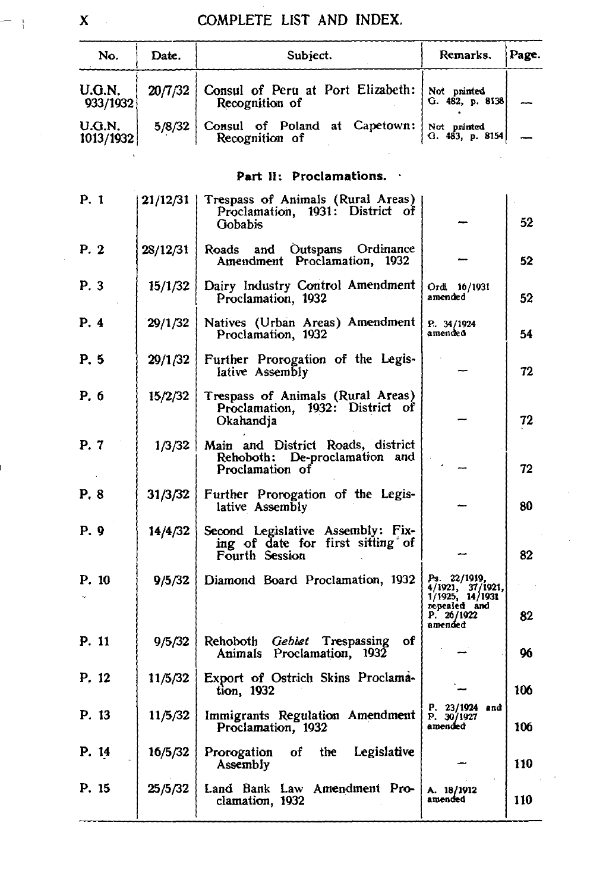| No.                 | Date.      | Subject.                                                                                | Remarks.                                                            | Page. |
|---------------------|------------|-----------------------------------------------------------------------------------------|---------------------------------------------------------------------|-------|
| U.G.N.<br>933/1932  | 20/7/32    | Consul of Peru at Port Elizabeth:<br>Recognition of                                     | Not pninted<br>G. 482, p. 8138                                      |       |
| U.G.N.<br>1013/1932 | 5/8/32     | Consul of Poland at Capetown:<br>Recognition of                                         | Not pninted<br>Q.483, p.8154                                        |       |
|                     |            | Part II: Proclamations.                                                                 |                                                                     |       |
| P. 1                | $21/12/31$ | Trespass of Animals (Rural Areas)<br>Proclamation, 1931: District of<br>Gobabis         |                                                                     | 52    |
| P. 2                | 28/12/31   | Outspans Ordinance<br>Roads and<br>Amendment Proclamation, 1932                         |                                                                     | 52    |
| P. 3                | 15/1/32    | Dairy Industry Control Amendment<br>Proclamation, 1932                                  | Ordi 16/1931<br>amended                                             | 52    |
| P. 4                | 29/1/32    | Natives (Urban Areas) Amendment<br>Proclamation, 1932                                   | P. 34/1924<br>amended                                               | 54    |
| P. 5                | 29/1/32    | Further Prorogation of the Legis-<br>lative Assembly                                    |                                                                     | 72    |
| P. 6                | 15/2/32    | Trespass of Animals (Rural Areas)<br>Proclamation, 1932: District of<br>Okahandja       |                                                                     | 72    |
| P. 7                | 1/3/32     | Main and District Roads, district<br>Rehoboth: De-proclamation and<br>Proclamation of   |                                                                     | 72    |
| P. 8                | 31/3/32    | Further Prorogation of the Legis-<br>lative Assembly                                    |                                                                     | 80    |
| P. 9                | 14/4/32    | Second Legislative Assembly: Fix-<br>ing of date for first sitting of<br>Fourth Session |                                                                     | 82    |
| P. 10               | 9/5/32     | Diamond Board Proclamation, 1932                                                        | Ps. 22/1919,<br>4/1921, 37/1921,<br>1/1925, 14/1931<br>repealed and |       |
|                     |            |                                                                                         | P. 26/1922<br>amended                                               | 82    |
| P. 11               | 9/5/32     | Rehoboth Gebiet Trespassing<br>оf<br>Animals Proclamation, 1932                         |                                                                     | 96    |
| P. 12               |            | 11/5/32 Export of Ostrich Skins Proclama-<br>tion, 1932                                 |                                                                     | 106   |
| P. 13               | 11/5/32    | Immigrants Regulation Amendment<br>Proclamation, 1932                                   | P. 23/1924<br>end<br>P. 30/1927<br>amended                          | 106   |
| P. 14               | 16/5/32    | Prorogation<br>of<br>the Legislative<br>Assembly                                        |                                                                     | 110   |
| P. 15               | 25/5/32    | Land Bank Law Amendment Pro-<br>clamation, 1932                                         | A. 18/1912<br>amended                                               | 110   |

 $\mathbf{X}$ 

 $-1$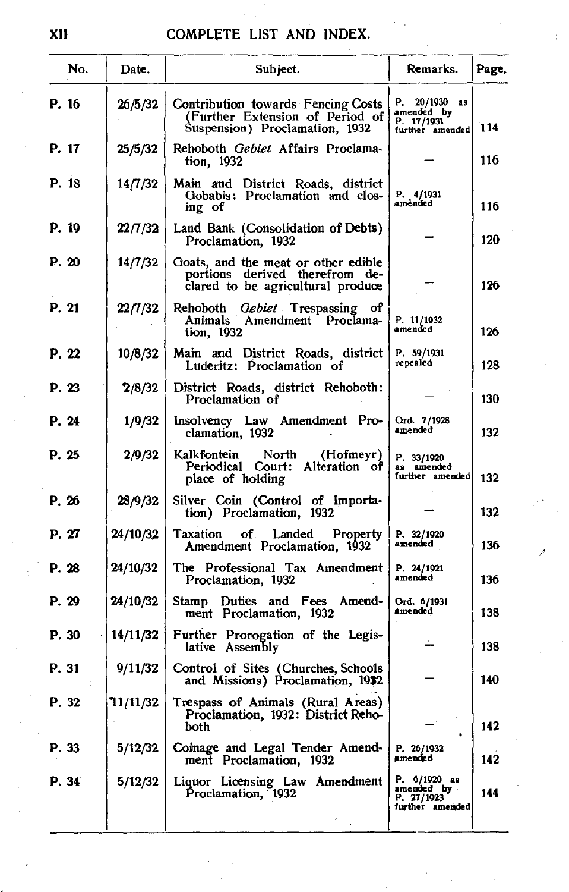|       | No. | Date.    | Subject.                                                                                                   | Remarks.                                                     | Page. |
|-------|-----|----------|------------------------------------------------------------------------------------------------------------|--------------------------------------------------------------|-------|
| P. 16 |     | 26/5/32  | Contribution towards Fencing Costs<br>(Further Extension of Period of<br>Suspension) Proclamation, 1932    | P. 20/1930 as<br>amended by<br>P. 17/1931<br>further amended | 114   |
| P. 17 |     | 25/5/32  | Rehoboth Gebiet Affairs Proclama-<br>tion, 1932                                                            |                                                              | 116   |
| P. 18 |     | 14/7/32  | Main and District Roads, district<br>Gobabis: Proclamation and clos-<br>ing of                             | P. 4/1931<br>amended                                         | 116   |
| P. 19 |     | 22/7/32  | Land Bank (Consolidation of Debts)<br>Proclamation, 1932                                                   |                                                              | 120   |
| P. 20 |     | 14/7/32  | Goats, and the meat or other edible<br>portions derived therefrom de-<br>clared to be agricultural produce |                                                              | 126   |
| P. 21 |     | 22/7/32  | <i>Gebiet</i> Trespassing of<br>Rehoboth<br>Amendment Proclama-<br>Animals<br>tion, 1932                   | P. 11/1932<br>amended                                        | 126   |
| P. 22 |     | 10/8/32  | Main and District Roads, district<br>Luderitz: Proclamation of                                             | P. 59/1931<br>repealed                                       | 128   |
| P. 23 |     | 2/8/32   | District Roads, district Rehoboth:<br>Proclamation of                                                      |                                                              | 130   |
| P. 24 |     | 1/9/32   | Insolvency Law Amendment Pro-<br>clamation, 1932                                                           | Ord. 7/1928<br>amended                                       | 132   |
| P. 25 |     | 2/9/32   | Kalkfontein<br>North<br>(Hofmeyr)<br>Periodical Court: Alteration of<br>place of holding                   | P. 33/1920<br>as amended<br>further amended                  | 132   |
| P. 26 |     | 28/9/32  | Silver Coin (Control of Importa-<br>tion) Proclamation, 1932                                               |                                                              | 132   |
| P. 27 |     | 24/10/32 | Taxation<br>of Landed<br>Property<br>Amendment Proclamation, 1932                                          | P. 32/1920<br>amended                                        | 136   |
| P. 28 |     | 24/10/32 | The Professional Tax Amendment<br>Proclamation, 1932                                                       | P. 24/1921<br>amended                                        | 136   |
| P. 29 |     | 24/10/32 | Stamp Duties and Fees Amend-<br>ment Proclamation, 1932                                                    | Ord. 6/1931<br>amended                                       | 138   |
| P. 30 |     | 14/11/32 | Further Prorogation of the Legis-<br>lative Assembly                                                       |                                                              | 138   |
| P. 31 |     | 9/11/32  | Control of Sites (Churches, Schools<br>and Missions) Proclamation, 1932                                    |                                                              | 140   |
| P. 32 |     | 71/11/32 | Trespass of Animals (Rural Areas)<br>Proclamation, 1932: District Reho-<br>both                            | ٠                                                            | 142   |
| P. 33 |     | 5/12/32  | Coinage and Legal Tender Amend-<br>ment Proclamation, 1932                                                 | P. 26/1932<br>amended                                        | 142   |
| P. 34 |     | 5/12/32  | Liquor Licensing Law Amendment<br>Proclamation, 1932                                                       | P. 6/1920 as<br>amended by<br>P. 27/1923<br>further amended  | 144   |
|       |     |          |                                                                                                            |                                                              |       |

/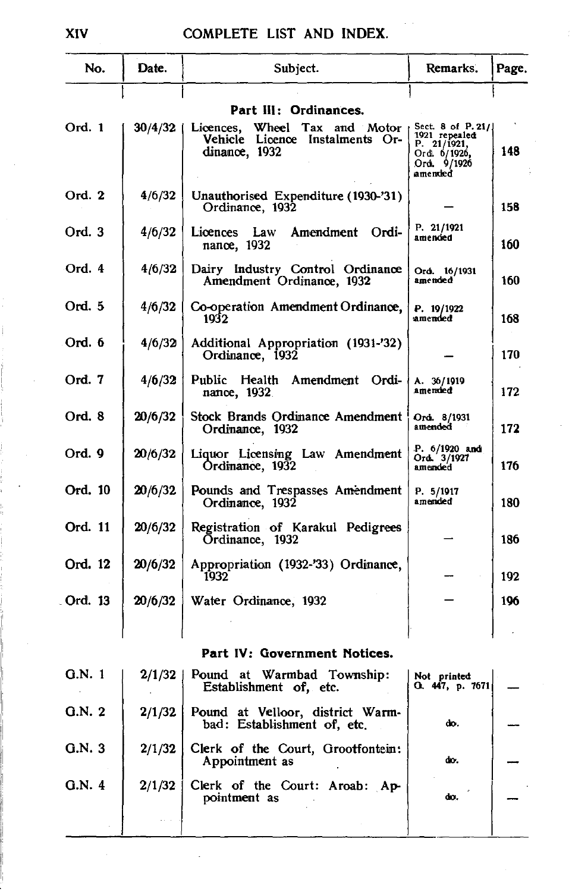| No.     | Date.   | Subject.                                                                                | Remarks.                                                                                    | Page. |
|---------|---------|-----------------------------------------------------------------------------------------|---------------------------------------------------------------------------------------------|-------|
|         |         | Part III: Ordinances.                                                                   |                                                                                             |       |
| Ord. 1  | 30/4/32 | Licences,<br>Wheel<br>Tax and Motor<br>Vehicle Licence Instalments Or-<br>dinance, 1932 | Sect. 8 of P. 21/<br>1921 repealed<br>P. 21/1921,<br>Ord. 6/1926,<br>Ord. 9/1926<br>amended | 148   |
| Ord. 2  | 4/6/32  | Unauthorised Expenditure (1930-'31)<br>Ordinance, 1932                                  |                                                                                             | 158   |
| Ord. 3  | 4/6/32  | Amendment Ordi-<br>Licences Law<br>nance, 1932                                          | P. 21/1921<br>amended                                                                       | 160   |
| Ord. 4  | 4/6/32  | Dairy Industry Control Ordinance<br>Amendment Ordinance, 1932                           | Ord. 16/1931<br>amended                                                                     | 160   |
| Ord. 5  | 4/6/32  | Co-operation Amendment Ordinance,<br>1932                                               | P. 19/1922<br>amended                                                                       | 168   |
| Ord. 6  | 4/6/32  | Additional Appropriation (1931-'32)<br>Ordinance, 1932                                  |                                                                                             | 170   |
| Ord. 7  | 4/6/32  | Amendment Ordi-<br>Public<br>Health<br>nance, 1932.                                     | A. 36/1919<br>amended                                                                       | 172   |
| Ord. 8  | 20/6/32 | Stock Brands Ordinance Amendment<br>Ordinance, 1932                                     | Ord. 8/1931<br>amended                                                                      | 172   |
| Ord. 9  | 20/6/32 | Liquor Licensing Law Amendment<br>Ordinance, 1932                                       | P. 6/1920 and<br>Ord. 3/1927<br>amended                                                     | 176   |
| Ord. 10 | 20/6/32 | Pounds and Trespasses Amendment<br>Ordinance, 1932                                      | P. 5/1917<br>amended                                                                        | 180   |
| Ord. 11 | 20/6/32 | Registration of Karakul Pedigrees<br>Ordinance, 1932                                    |                                                                                             | 186   |
| Ord. 12 | 20/6/32 | Appropriation (1932-'33) Ordinance,<br>1932                                             |                                                                                             | 192   |
| Ord. 13 | 20/6/32 | Water Ordinance, 1932                                                                   |                                                                                             | 196   |
|         |         |                                                                                         |                                                                                             |       |
|         |         | Part IV: Government Notices.                                                            |                                                                                             |       |
| Q.N. 1  | 2/1/32  | Pound at Warmbad Township:<br>Establishment of, etc.                                    | Not printed<br>O. 447, p. 7671                                                              |       |
| Q.N.2   | 2/1/32  | Pound at Velloor, district Warm-<br>bad: Establishment of, etc.                         | do.                                                                                         |       |
| Q.N.3   | 2/1/32  | Clerk of the Court, Grootfontein:<br>Appointment as                                     | do.                                                                                         |       |
| G.N. 4  | 2/1/32  | Clerk of the Court: Aroab: Ap-<br>pointment as                                          | do.                                                                                         |       |
|         |         |                                                                                         |                                                                                             |       |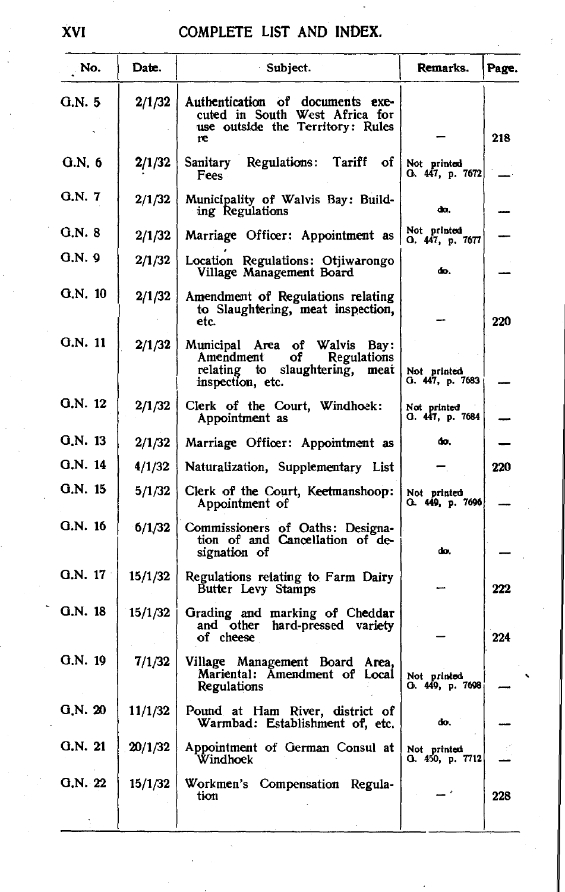| No.      | Date.   | Subject.                                                                                                                    | Remarks.                       | Page.      |
|----------|---------|-----------------------------------------------------------------------------------------------------------------------------|--------------------------------|------------|
| G.N.5    | 2/1/32  | Authentication of documents exe-<br>cuted in South West Africa for<br>use outside the Territory: Rules<br>re                |                                | 218        |
| G.N. 6   | 2/1/32  | Regulations:<br>Tariff of<br>Sanitary<br><b>Fees</b>                                                                        | Not printed<br>O. 447, p. 7672 |            |
| G.N. 7   | 2/1/32  | Municipality of Walvis Bay: Build-<br>ing Regulations                                                                       | do.                            |            |
| $G.N.$ 8 | 2/1/32  | Marriage Officer: Appointment as                                                                                            | Not printed<br>O. 447, p. 7677 |            |
| G.N. 9   | 2/1/32  | Location Regulations: Otiiwarongo<br>Village Management Board                                                               | do.                            |            |
| G.N. 10  | 2/1/32  | Amendment of Regulations relating<br>to Slaughtering, meat inspection,<br>etc.                                              |                                | 220        |
| G.N. 11  | 2/1/32  | Municipal Area of<br>Walvis Bay:<br>of<br>Regulations<br>Amendment<br>relating to slaughtering,<br>meat<br>inspection, etc. | Not printed<br>G. 447, p. 7683 |            |
| G.N. 12  | 2/1/32  | Clerk of the Court, Windhoek:<br>Appointment as                                                                             | Not printed<br>G. 447, p. 7684 |            |
| G.N. 13  | 2/1/32  | Marriage Officer: Appointment as                                                                                            | do.                            |            |
| G.N. 14  | 4/1/32  | Naturalization, Supplementary List                                                                                          |                                | <b>220</b> |
| G.N. 15  | 5/1/32  | Clerk of the Court, Keetmanshoop:<br>Appointment of                                                                         | Not printed<br>G. 449, p. 7696 |            |
| G.N. 16  | 6/1/32  | Commissioners of Oaths: Designa-<br>tion of and Cancellation of de-<br>signation of                                         | do.                            |            |
| G.N. 17  | 15/1/32 | Regulations relating to Farm Dairy<br>Butter Levy Stamps                                                                    |                                | 222        |
| G.N. 18  | 15/1/32 | Grading and marking of Cheddar<br>and other hard-pressed variety<br>of cheese                                               |                                | 224        |
| G.N. 19  | 7/1/32  | Village Management Board Area,<br>Mariental: Amendment of Local<br>Regulations                                              | Not printed<br>О. 449, р. 7698 |            |
| Q.N. 20  | 11/1/32 | Pound at Ham River, district of<br>Warmbad: Establishment of, etc.                                                          | đо.                            |            |
| Q.N. 21  | 20/1/32 | Appointment of German Consul at<br>Windhoek                                                                                 | Not printed<br>G. 450, p. 7712 |            |
| Q.N. 22  | 15/1/32 | Workmen's Compensation Regula-<br>tion                                                                                      |                                | 228        |
|          |         |                                                                                                                             |                                |            |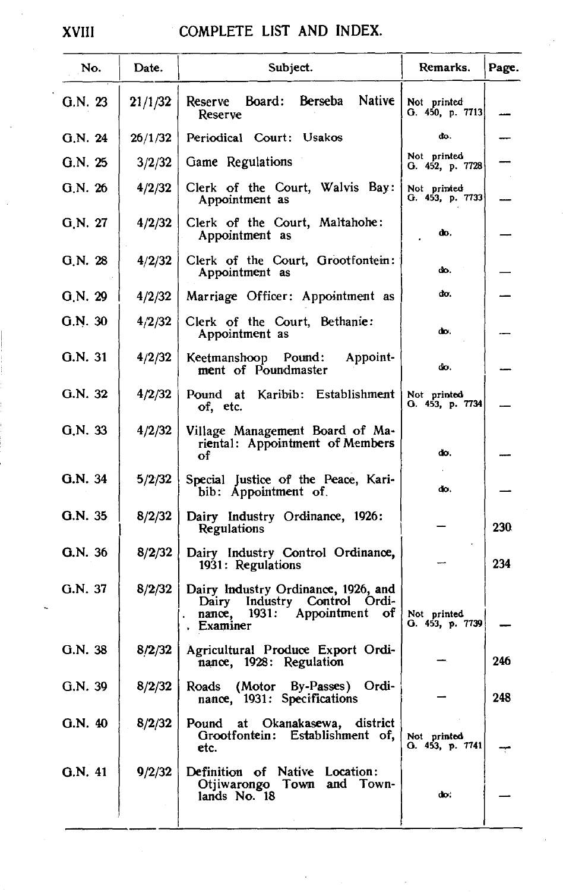#### XVIII COMPLETE LIST AND INDEX.

| No.     | Date.   | Subject.                                                                                                            | Remarks.                        | Page. |
|---------|---------|---------------------------------------------------------------------------------------------------------------------|---------------------------------|-------|
| G.N. 23 | 21/1/32 | Reserve Board: Berseba<br>Native<br>Reserve                                                                         | Not printed<br>G. 450, p. 7713] |       |
| G.N. 24 | 26/1/32 | Periodical Court: Usakos                                                                                            | do.                             |       |
| G.N.25  | 3/2/32  | Game Regulations                                                                                                    | Not printed<br>G. 452, p. 7728  |       |
| G.N. 26 | 4/2/32  | Clerk of the Court, Walvis Bay:<br>Appointment as                                                                   | Not printed<br>G. 453, p. 7733  |       |
| G.N. 27 | 4/2/32  | Clerk of the Court, Maltahohe:<br>Appointment as                                                                    | do.                             |       |
| G.N. 28 | 4/2/32  | Clerk of the Court, Grootfontein:<br>Appointment as                                                                 | do.                             |       |
| G.N. 29 | 4/2/32  | Marriage Officer: Appointment as                                                                                    | do.                             |       |
| G.N. 30 | 4/2/32  | Clerk of the Court, Bethanie:<br>Appointment as                                                                     | do.                             |       |
| G.N. 31 | 4/2/32  | Keetmanshoop Pound:<br>Appoint-<br>ment of Poundmaster                                                              | do.                             |       |
| G.N. 32 | 4/2/32  | Pound at Karibib: Establishment<br>of, etc.                                                                         | Not printed<br>O. 453, p. 7734  |       |
| G.N. 33 | 4/2/32  | Village Management Board of Ma-<br>riental: Appointment of Members<br>οf                                            | do.                             |       |
| G.N. 34 | 5/2/32  | Special Justice of the Peace, Kari-<br>bib: Appointment of.                                                         | đo.                             |       |
| G.N. 35 | 8/2/32  | Dairy Industry Ordinance, 1926:<br>Regulations                                                                      |                                 | 230   |
| G.N. 36 | 8/2/32  | Dairy Industry Control Ordinance,<br>1931: Regulations                                                              |                                 | 234   |
| G.N. 37 | 8/2/32  | Dairy Industry Ordinance, 1926, and<br>Dairy Industry Control Ordi-<br>1931: Appointment of<br>nance,<br>. Examiner | Not printed<br>O. 453, p. 7739  |       |
| G.N. 38 | 8/2/32  | Agricultural Produce Export Ordi-<br>nance, 1928: Regulation                                                        |                                 | 246   |
| G.N. 39 | 8/2/32  | Roads (Motor By-Passes) Ordi-<br>nance, 1931: Specifications                                                        |                                 | 248   |
| G.N.40  | 8/2/32  | Pound at Okanakasewa, district<br>Grootfontein: Establishment of,<br>etc.                                           | Not printed<br>G. 453, p. 7741  |       |
| G.N. 41 | 9/2/32  | Definition of Native Location:<br>Otjiwarongo Town and Town-<br>lands No. 18                                        | do.                             |       |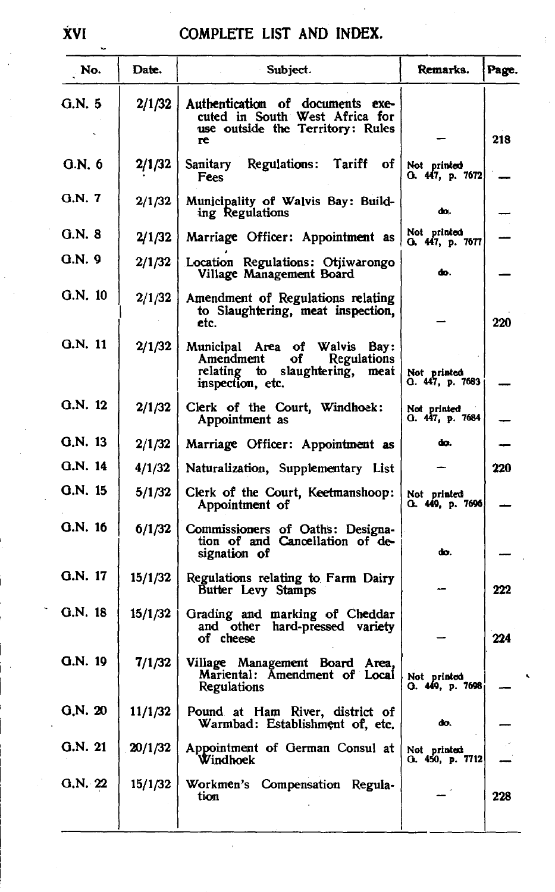| No.       | Date.   | Subject.                                                                                                              | Remarks.                        | Page. |
|-----------|---------|-----------------------------------------------------------------------------------------------------------------------|---------------------------------|-------|
| G.N. 5    | 2/1/32  | Authentication of documents exe-<br>cuted in South West Africa for<br>use outside the Territory: Rules<br>re          |                                 | 218   |
| G.N. 6    | 2/1/32  | Sanitary<br>Regulations: Tariff of<br>Fees                                                                            | Not printed<br>O. 447, p. 7672, |       |
| G.N. 7    | 2/1/32  | Municipality of Walvis Bay: Build-<br>ing Regulations                                                                 | ф٥.                             |       |
| G.N. 8    | 2/1/32  | Marriage Officer: Appointment as                                                                                      | Not printed<br>G. 447, p. 7677  |       |
| Q.N.9     | 2/1/32  | Location Regulations: Otjiwarongo<br>Village Management Board                                                         | фo.                             |       |
| $G.N.$ 10 | 2/1/32  | Amendment of Regulations relating<br>to Slaughtering, meat inspection,<br>etc.                                        |                                 | 220   |
| G.N. 11   | 2/1/32  | Municipal Area of Walvis Bay:<br>оf<br>Regulations<br>Amendment<br>relating to slaughtering, meat<br>inspection, etc. | Not printed<br>G. 447, p. 7683  |       |
| G.N. 12   | 2/1/32  | Clerk of the Court, Windhoek:<br>Appointment as                                                                       | Not printed<br>G. 447, p. 7684  |       |
| G.N. 13   | 2/1/32  | Marriage Officer: Appointment as                                                                                      | đο.                             |       |
| G.N. 14   | 4/1/32  | Naturalization, Supplementary List                                                                                    |                                 | 220   |
| G.N. 15   | 5/1/32  | Clerk of the Court, Keetmanshoop:<br>Appointment of                                                                   | Not printed<br>O. 449, p. 7696  |       |
| G.N. 16   | 6/1/32  | Commissioners of Oaths: Designa-<br>tion of and Cancellation of de-<br>signation of                                   | dо.                             |       |
| G.N. 17   | 15/1/32 | Regulations relating to Farm Dairy<br>Butter Levy Stamps                                                              |                                 | 222   |
| G.N. 18   | 15/1/32 | Grading and marking of Cheddar<br>and other hard-pressed variety<br>of cheese                                         |                                 | 224   |
| $Q.N.$ 19 | 7/1/32  | Village Management Board Area,<br>Mariental: Amendment of Local<br>Regulations                                        | Not printed<br>), 449, p. 7698  |       |
| Q.N. 20   | 11/1/32 | Pound at Ham River, district of<br>Warmbad: Establishment of, etc.                                                    | do.                             |       |
| G.N. 21   | 20/1/32 | Appointment of German Consul at<br>Windhoek                                                                           | Not printed<br>G. 450, p. 7712  |       |
| G.N. 22   | 15/1/32 | Workmen's Compensation Regula-<br>tion                                                                                |                                 | 228   |

XVI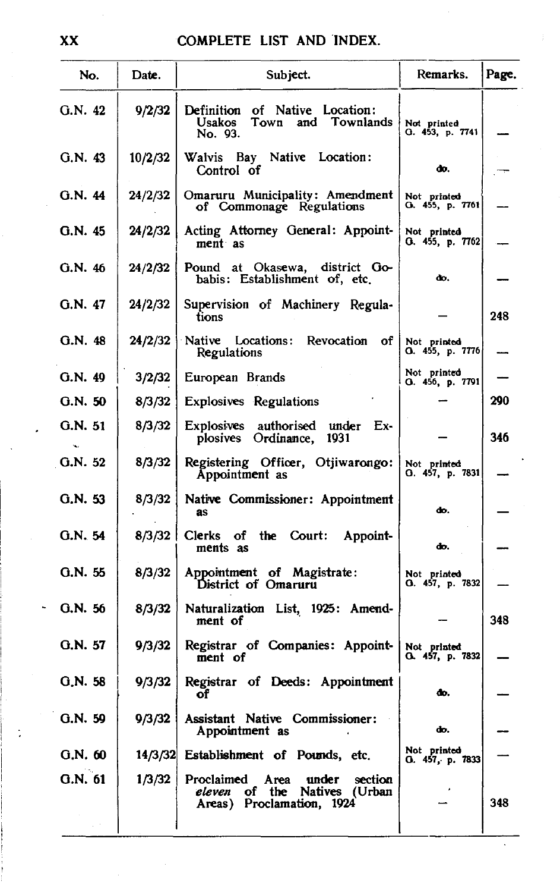| No.        | Date.   | Subject.                                                                                                  | Remarks.                       | Page. |
|------------|---------|-----------------------------------------------------------------------------------------------------------|--------------------------------|-------|
| G.N. 42    | 9/2/32  | Definition of Native Location:<br>Town and Townlands<br>Usakos<br>No. 93.                                 | Not printed<br>G. 453, p. 7741 |       |
| G.N. 43    | 10/2/32 | Walvis Bay Native Location:<br>Control of                                                                 | do.                            |       |
| G.N. 44    | 24/2/32 | Omaruru Municipality: Amendment<br>of Commonage Regulations                                               | Not printed<br>O. 455, p. 7761 |       |
| G.N.45     | 24/2/32 | Acting Attorney General: Appoint-<br>ment as                                                              | Not printed<br>0.455, p.7762   |       |
| G.N. 46    | 24/2/32 | Pound at Okasewa, district Go-<br>babis: Establishment of, etc.                                           | do.                            |       |
| G.N. 47    | 24/2/32 | Supervision of Machinery Regula-<br>tions                                                                 |                                | 248   |
| G.N. 48    | 24/2/32 | Native Locations: Revocation of<br>Regulations                                                            | Not printed<br>O. 455, p. 7776 |       |
| G.N. 49    | 3/2/32  | European Brands                                                                                           | Not printed<br>O. 456, p. 7791 |       |
| G.N.50     | 8/3/32  | <b>Explosives Regulations</b>                                                                             |                                | 290   |
| G.N. 51    | 8/3/32  | Explosives authorised under Ex-<br>plosives Ordinance,<br>1931                                            |                                | 346   |
| G.N. 52    | 8/3/32  | Registering Officer, Otjiwarongo:<br>Appointment as                                                       | Not printed<br>O. 457, p. 7831 |       |
| G.N.53     | 8/3/32  | Native Commissioner: Appointment<br>as                                                                    | do.                            |       |
| G.N. 54    | 8/3/32  | Clerks of<br>the Court:<br>Appoint-<br>ments as                                                           | do.                            |       |
| G.N. 55    | 8/3/32  | Appointment of Magistrate:<br>District of Omaruru                                                         | Not printed<br>O. 457, p. 7832 |       |
| G.N. 56    | 8/3/32  | Naturalization List, 1925: Amend-<br>ment of                                                              |                                | 348   |
| G.N. 57    | 9/3/32  | Registrar of Companies: Appoint-<br>ment of                                                               | Not printed<br>O. 457, p. 7832 |       |
| $Q_N$ . 58 | 9/3/32  | Registrar of Deeds: Appointment<br>or                                                                     | œ.                             |       |
| G.N. 59    | 9/3/32  | Assistant Native Commissioner:<br>Appointment as                                                          | do.                            |       |
| G.N.60     | 14/3/32 | Establishment of Pounds, etc.                                                                             | Not printed<br>O. 457, p. 7833 |       |
| G.N. 61    | 1/3/32  | Proclaimed<br>Area<br>under<br>section<br>the Natives (Urban<br>eleven<br>of<br>Areas) Proclamation, 1924 |                                | 348   |
|            |         |                                                                                                           |                                |       |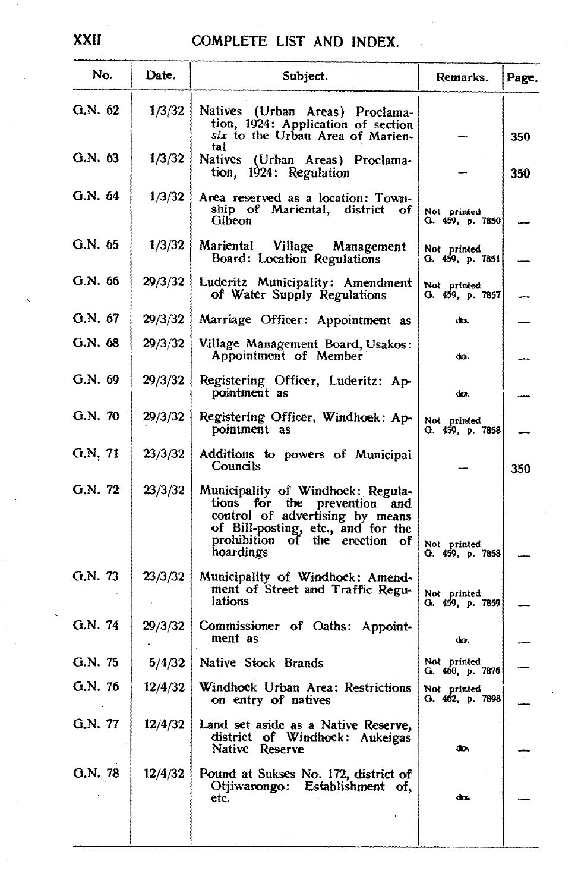| No.     | Date.   | Subject.                                                                                                                                                                                     | Remarks.                          | Page. |
|---------|---------|----------------------------------------------------------------------------------------------------------------------------------------------------------------------------------------------|-----------------------------------|-------|
| G.N. 62 | 1/3/32  | Natives (Urban Areas) Proclama-<br>tion, 1924: Application of section<br>six to the Urban Area of Marien-<br>tal                                                                             |                                   | 350   |
| G.N. 63 | 1/3/32  | Natives (Urban Areas) Proclama-<br>tion, 1924: Regulation                                                                                                                                    |                                   | 350   |
| G.N. 64 | 1/3/32  | Area reserved as a location: Town-<br>ship of Mariental, district of<br>Gibeon                                                                                                               | Not printed<br>G. 459, p. 7850    |       |
| G.N. 65 | 1/3/32  | Mariental<br>Village Management<br>Board: Location Regulations                                                                                                                               | Not printed<br>G. 459, p. 7851    |       |
| G.N. 66 | 29/3/32 | Luderitz Municipality: Amendment<br>of Water Supply Regulations                                                                                                                              | Not printed<br>G. 459, p. 7857    |       |
| G.N. 67 | 29/3/32 | Marriage Officer: Appointment as                                                                                                                                                             | do.                               |       |
| G.N. 68 | 29/3/32 | Village Management Board, Usakos:<br>Appointment of Member                                                                                                                                   | do.                               |       |
| G.N. 69 | 29/3/32 | Registering Officer, Luderitz: Ap-<br>pointment as                                                                                                                                           | do.                               |       |
| G.N. 70 | 29/3/32 | Registering Officer, Windhoek: Ap-<br>pointment as                                                                                                                                           | Not printed<br>O. 459, p. 7858    |       |
| G.N.71  | 23/3/32 | Additions to powers of Municipal<br>Councils                                                                                                                                                 |                                   | 350   |
| G.N. 72 | 23/3/32 | Municipality of Windhoek: Regula-<br>tions for the<br>prevention and<br>control of advertising by means<br>of Bill-posting, etc., and for the<br>prohibition of the erection of<br>hoardings | Not printed<br>G. 459, p. 7858    |       |
| G.N. 73 | 23/3/32 | Municipality of Windhoek: Amend-<br>ment of Street and Traffic Regu-<br>lations                                                                                                              | Not printed<br>G. 459, p. 7859    |       |
| G.N. 74 | 29/3/32 | Commissioner of Oaths: Appoint-<br>ment as                                                                                                                                                   | do.                               |       |
| G.N. 75 | 5/4/32  | Native Stock Brands                                                                                                                                                                          | Not printed<br>G. 460, p. 7876    |       |
| G.N. 76 | 12/4/32 | Windhoek Urban Area: Restrictions<br>on entry of natives                                                                                                                                     | Not printed<br>G. $462$ , p. 7898 |       |
| G.N. 77 | 12/4/32 | Land set aside as a Native Reserve,<br>district of Windhoek: Aukeigas<br>Native Reserve                                                                                                      | do.                               |       |
| G.N. 78 | 12/4/32 | Pound at Sukses No. 172, district of<br>Otjiwarongo: Establishment of,<br>etc.                                                                                                               | do.                               |       |
|         |         |                                                                                                                                                                                              |                                   |       |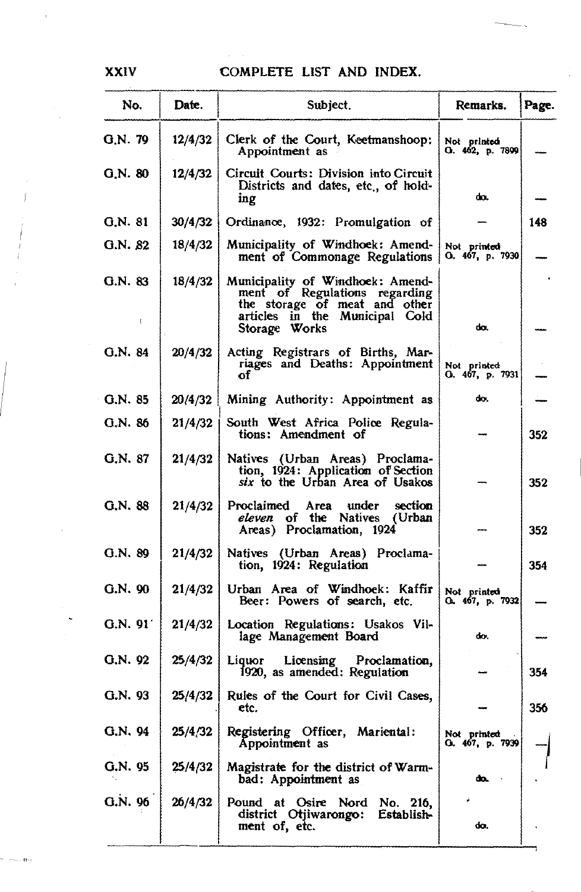| No.      | Date.   | Subject.                                                                                                                                              | Remarks.                         | Page. |
|----------|---------|-------------------------------------------------------------------------------------------------------------------------------------------------------|----------------------------------|-------|
| G.N. 79  | 12/4/32 | Clerk of the Court, Keetmanshoop:<br>Appointment as                                                                                                   | Not printed<br>G. 462, p. 7899   |       |
| G.N. 80  | 12/4/32 | Circuit Courts: Division into Circuit<br>Districts and dates, etc., of hold-<br>ing                                                                   | do.                              |       |
| Q.N. 81  | 30/4/32 | Ordinance, 1932: Promulgation of                                                                                                                      |                                  | 148   |
| G.N. 82  | 18/4/32 | Municipality of Windhoek: Amend-<br>ment of Commonage Regulations                                                                                     | Not printed<br>O. 467, p. 7930   |       |
| Q.N. 83  | 18/4/32 | Municipality of Windhoek: Amend-<br>ment of Regulations regarding<br>the storage of meat and other<br>articles in the Municipal Cold<br>Storage Works | da.                              |       |
| G.N. 84  | 20/4/32 | Acting Registrars of Births, Mar-<br>riages and Deaths: Appointment<br>of                                                                             | Not printed<br>O. 467, p. 7931   |       |
| G.N. 85  | 20/4/32 | Mining Authority: Appointment as                                                                                                                      | do.                              |       |
| G.N. 86  | 21/4/32 | South West Africa Police Regula-<br>tions: Amendment of                                                                                               |                                  | 352   |
| G.N. 87  | 21/4/32 | Natives (Urban Areas) Proclama-<br>tion, 1924: Application of Section<br>six to the Urban Area of Usakos                                              |                                  | 352   |
| G.N. 88  | 21/4/32 | Proclaimed Area<br>under<br>section<br>eleven of the Natives (Urban<br>Areas) Proclamation, 1924                                                      |                                  | 352   |
| Q.N. 89  | 21/4/32 | Natives (Urban Areas) Proclama-<br>tion, 1924: Regulation                                                                                             |                                  | 354   |
| G.N.90   | 21/4/32 | Urban Area of Windhoek: Kaffir<br>Beer: Powers of search, etc.                                                                                        | Not printed<br>O., 467, p. 7932. |       |
| G.N. 91' | 21/4/32 | Location Regulations: Usakos Vil-<br>lage Management Board                                                                                            | do.                              |       |
| G.N. 92  | 25/4/32 | Liquor Licensing Proclamation,<br>1920, as amended: Regulation                                                                                        |                                  | 354   |
| G.N. 93  | 25/4/32 | Rules of the Court for Civil Cases,<br>etc.                                                                                                           |                                  | 356   |
| G.N. 94  | 25/4/32 | Registering Officer, Mariental:<br>Appointment as                                                                                                     | Not printed<br>Q. 467, p. 7939   |       |
| G.N. 95  | 25/4/32 | Magistrate for the district of Warm-<br>bad: Appointment as                                                                                           | do.                              |       |
| G.N. 96  | 26/4/32 | Pound at Osire Nord<br>No. 216,<br>district Otjiwarongo:<br>Establish-<br>ment of, etc.                                                               | do.                              |       |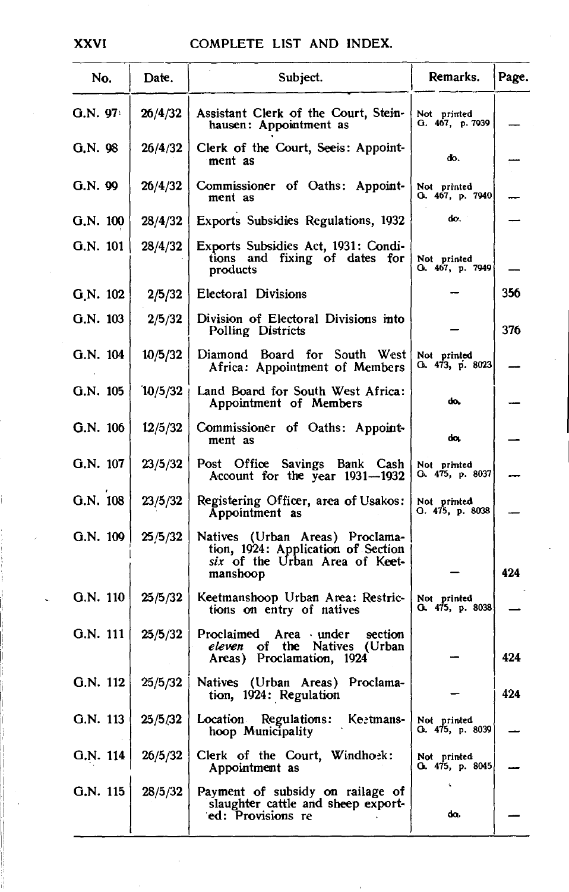| No.         | Date.   | Subject.                                                                                                            | Remarks.                       | Page. |
|-------------|---------|---------------------------------------------------------------------------------------------------------------------|--------------------------------|-------|
| G.N. 97     | 26/4/32 | Assistant Clerk of the Court, Stein-<br>hausen: Appointment as                                                      | Not printed<br>Q.467, p.7939   |       |
| G.N. 98     | 26/4/32 | Clerk of the Court, See is: Appoint-<br>ment as                                                                     | ďo.                            |       |
| G.N. 99     | 26/4/32 | Commissioner of Oaths: Appoint-<br>ment as                                                                          | Not printed<br>O. 467, p. 7940 |       |
| G.N. 100    | 28/4/32 | Exports Subsidies Regulations, 1932                                                                                 | do.                            |       |
| G.N. 101    | 28/4/32 | Exports Subsidies Act, 1931: Condi-<br>tions and fixing of dates for<br>products                                    | Not printed<br>Q. 467, p. 7949 |       |
| $Q_N$ . 102 | 2/5/32  | Electoral Divisions                                                                                                 |                                | 356   |
| G.N. 103    | 2/5/32  | Division of Electoral Divisions into<br>Polling Districts                                                           |                                | 376   |
| $G.N.$ 104  | 10/5/32 | Diamond Board for South West<br>Africa: Appointment of Members                                                      | Not printed<br>O. 473, p. 8023 |       |
| $G.N.$ 105  | 10/5/32 | Land Board for South West Africa:<br>Appointment of Members                                                         | do.                            |       |
| G.N. 106    | 12/5/32 | Commissioner of Oaths: Appoint-<br>ment as                                                                          | do.                            |       |
| $G.N.$ 107  | 23/5/32 | Post Office Savings Bank Cash<br>Account for the year $1931 - 1932$                                                 | Not printed<br>G. 475, p. 8037 |       |
| G.N. 108    | 23/5/32 | Registering Officer, area of Usakos:<br>Appointment as                                                              | Not printed<br>О. 475, р. 8038 |       |
| G.N. 109    | 25/5/32 | Natives (Urban Areas) Proclama-<br>tion, 1924: Application of Section<br>six of the Urban Area of Keet-<br>manshoop |                                | 424   |
| G.N. 110    | 25/5/32 | Keetmanshoop Urban Area: Restric-<br>tions on entry of natives                                                      | Not printed<br>O. 475, p. 8038 |       |
| G.N. 111    | 25/5/32 | Proclaimed Area under<br>section<br>eleven of the Natives (Urban<br>Areas) Proclamation, 1924                       |                                | 424   |
| G.N. 112    | 25/5/32 | Natives (Urban Areas) Proclama-<br>tion, 1924: Regulation                                                           |                                | 424   |
| G.N. 113    | 25/5/32 | Location Regulations: Keetmans-<br>hoop Municipality                                                                | Not printed<br>Q. 475, p. 8039 |       |
| G.N. 114    | 26/5/32 | Clerk of the Court, Windhoek:<br>Appointment as                                                                     | Not printed<br>O. 475, p. 8045 |       |
| G.N. 115    | 28/5/32 | Payment of subsidy on railage of<br>slaughter cattle and sheep export-<br>ed: Provisions re                         | da.                            |       |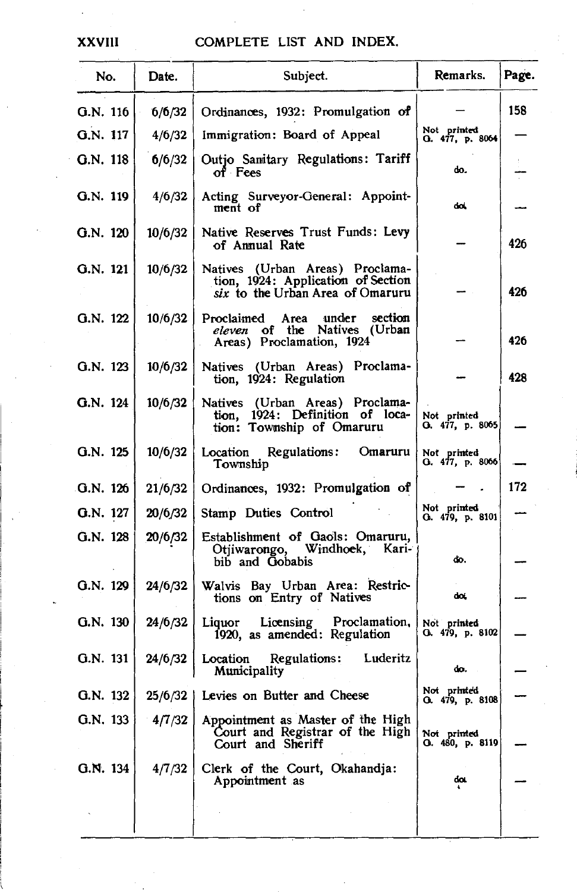| No.        | Date.   | Subject.                                                                                                  | Remarks.                       | Page. |
|------------|---------|-----------------------------------------------------------------------------------------------------------|--------------------------------|-------|
| G.N. 116   | 6/6/32  | Ordinances, 1932: Promulgation of                                                                         |                                | 158   |
| G.N. 117   | 4/6/32  | Immigration: Board of Appeal                                                                              | Not printed<br>G. 477, p. 8064 |       |
| $Q.N.$ 118 | 6/6/32  | Outjo Sanitary Regulations: Tariff<br>of Fees                                                             | do.                            |       |
| G.N. 119   | 4/6/32  | Acting Surveyor-General: Appoint-<br>ment of                                                              | dol.                           |       |
| G.N. 120   | 10/6/32 | Native Reserves Trust Funds: Levy<br>of Annual Rate                                                       |                                | 426   |
| G.N. 121   | 10/6/32 | Natives (Urban Areas) Proclama-<br>tion, 1924: Application of Section<br>six to the Urban Area of Omaruru |                                | 426   |
| G.N. 122   | 10/6/32 | under<br>section<br>Proclaimed Area<br>eleven of the Natives (Urban<br>Areas) Proclamation, 1924          |                                | 426   |
| G.N. 123   | 10/6/32 | Natives (Urban Areas) Proclama-<br>tion, 1924: Regulation                                                 |                                | 428   |
| G.N. 124   | 10/6/32 | Natives (Urban Areas) Proclama-<br>tion, 1924: Definition of loca-<br>tion: Township of Omaruru           | Not printed<br>G. 477, p. 8065 |       |
| G.N. 125   | 10/6/32 | Location Regulations: Omaruru<br>Township                                                                 | Not printed<br>G. 477, p. 8066 |       |
| G.N. 126   | 21/6/32 | Ordinances, 1932: Promulgation of                                                                         |                                | 172   |
| G.N. 127   | 20/6/32 | Stamp Duties Control                                                                                      | Not printed<br>G. 479, p. 8101 |       |
| G.N. 128   | 20/6/32 | Establishment of Gaols: Omaruru,<br>Windhoek, Kari-<br>Otjiwarongo,<br>bib and Gobabis                    | đo.                            |       |
| G.N. 129   | 24/6/32 | Walvis Bay Urban Area: Restric-<br>tions on Entry of Natives                                              | do,                            |       |
| G.N. 130   | 24/6/32 | Liquor Licensing Proclamation,<br>1920, as amended: Regulation                                            | Not printed<br>O. 479, p. 8102 |       |
| G.N. 131   | 24/6/32 | Location Regulations: Luderitz<br>Municipality                                                            | do.                            |       |
| G.N. 132   |         | 25/6/32   Levies on Butter and Cheese                                                                     | Not printed<br>Q. 479, p. 8108 |       |
| G.N. 133   | 4/7/32  | Appointment as Master of the High<br>Court and Registrar of the High<br>Court and Sheriff                 | Not printed<br>O. 480, p. 8119 |       |
| G.N. 134   | 4/7/32  | Clerk of the Court, Okahandja:<br>Appointment as                                                          | do.                            |       |
|            |         |                                                                                                           |                                |       |

**XXVIII**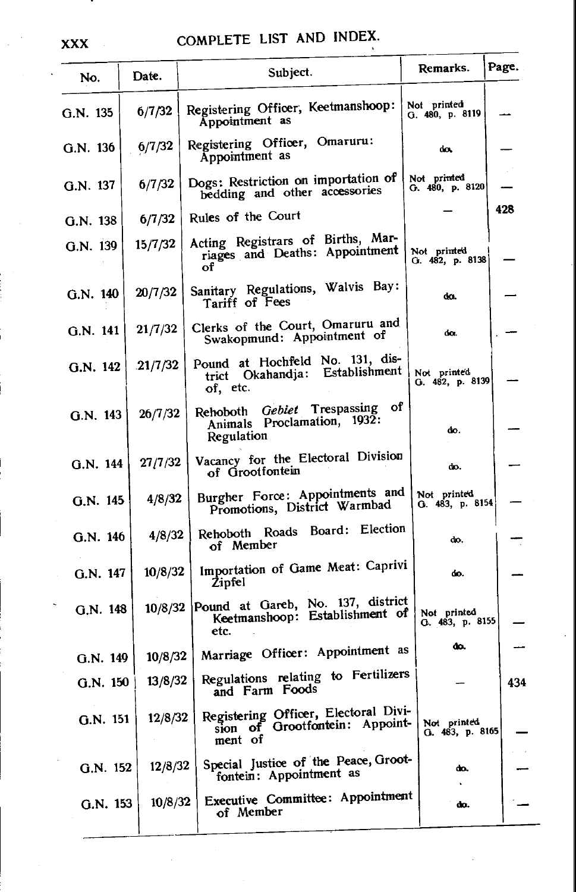| No.        | Date.   | Subject.                                                                          | Remarks.                       | Page. |
|------------|---------|-----------------------------------------------------------------------------------|--------------------------------|-------|
| G.N. 135   | 6/7/32  | Registering Officer, Keetmanshoop:<br>Appointment as                              | Not printed<br>G. 480, p. 8119 |       |
| G.N. 136   | 6/7/32  | Registering Officer, Omaruru:<br>Appointment as                                   | do.                            |       |
| G.N. 137   | 6/7/32  | Dogs: Restriction on importation of<br>bedding and other accessories              | Not printed<br>G. 480, p. 8120 |       |
| $G.N.$ 138 | 6/7/32  | Rules of the Court                                                                |                                | 428   |
| G.N. 139   | 15/7/32 | Acting Registrars of Births, Mar-<br>riages and Deaths: Appointment<br>of         | Not printed<br>G. 482, p. 8138 |       |
| $G.N.$ 140 | 20/7/32 | Sanitary Regulations, Walvis Bay:<br>Tariff of Fees                               | da.                            |       |
| G.N. 141   | 21/7/32 | Clerks of the Court, Omaruru and<br>Swakopmund: Appointment of                    | do.                            |       |
| G.N. 142   | 21/7/32 | Pound at Hochfeld No. 131, dis-<br>Okahandja: Establishment<br>trict<br>of, etc.  | Not printed<br>G. 482, p. 8139 |       |
| $G.N.$ 143 | 26/7/32 | Rehoboth Gebiet Trespassing of<br>Animals Proclamation, 1932:<br>Regulation       | do.                            |       |
| G.N. 144   | 27/7/32 | Vacancy for the Electoral Division<br>of Grootfontein                             | do.                            |       |
| G.N. 145   | 4/8/32  | Burgher Force: Appointments and<br>Promotions, District Warmbad                   | Not printed<br>G. 483, p. 8154 |       |
| G.N. 146   | 4/8/32  | Rehoboth Roads Board: Election<br>of Member                                       | do.                            |       |
| G.N. 147   | 10/8/32 | Importation of Game Meat: Caprivi<br>Zipfel                                       | do.                            |       |
| $G.N.$ 148 | 10/8/32 | Pound at Gareb, No. 137, district<br>Keetmanshoop: Establishment of<br>etc.       | Not printed<br>O. 483, p. 8155 |       |
| G.N. 149   | 10/8/32 | Marriage Officer: Appointment as                                                  | do.                            |       |
| G.N. 150   | 13/8/32 | Regulations relating to Fertilizers<br>and Farm Foods                             |                                | 434   |
| $G.N.$ 151 | 12/8/32 | Registering Officer, Electoral Divi-<br>sion of Grootfontein: Appoint-<br>ment of | Not printed<br>G. 483, p. 8165 |       |
| G.N. 152   | 12/8/32 | Special Justice of the Peace, Groot-<br>fontein: Appointment as                   | do.                            |       |
| G.N. 153   | 10/8/32 | Executive Committee: Appointment<br>of Member                                     | do.                            |       |
|            |         |                                                                                   |                                |       |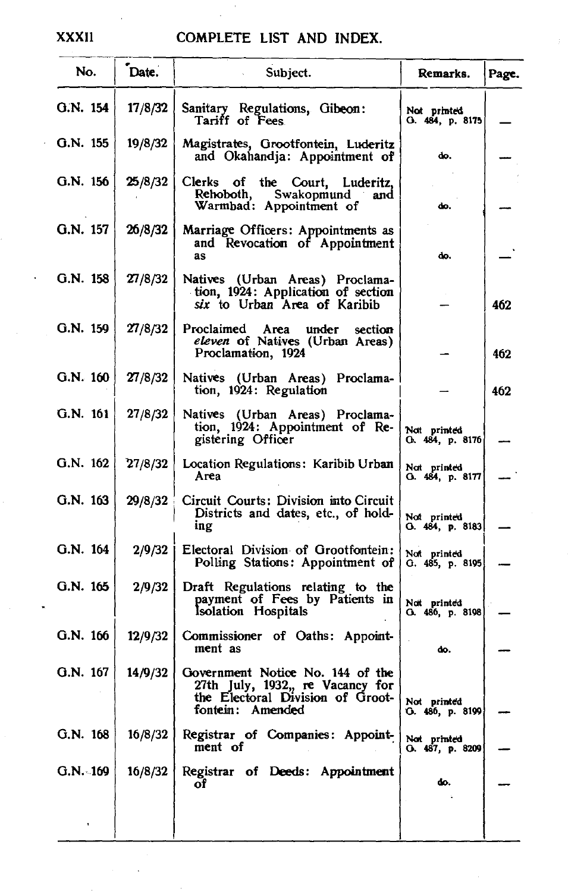#### XXXII COMPLETE LIST AND INDEX.

| No.        | Date.   | Subject.                                                                                                                     | Remarks.                        | Page. |
|------------|---------|------------------------------------------------------------------------------------------------------------------------------|---------------------------------|-------|
| G.N. 154   | 17/8/32 | Sanitary Regulations, Gibeon:<br>Tariff of Fees.                                                                             | Not printed<br>G. 484, p. 8175  |       |
| G.N. 155   | 19/8/32 | Magistrates, Grootfontein, Luderitz<br>and Okahandja: Appointment of                                                         | do.                             |       |
| G.N. 156   | 25/8/32 | Clerks of the Court, Luderitz,<br>Rehoboth.<br>Swakopmund<br>and<br>Warmbad: Appointment of                                  | do.                             |       |
| G.N. 157   | 26/8/32 | Marriage Officers: Appointments as<br>and Revocation of Appointment<br>as                                                    | do.                             |       |
| G.N. 158   | 27/8/32 | Natives (Urban Areas) Proclama-<br>tion, 1924: Application of section<br>six to Urban Area of Karibib                        |                                 | 462   |
| G.N. 159   | 27/8/32 | Proclaimed Area under<br>section<br>eleven of Natives (Urban Areas)<br>Proclamation, 1924                                    |                                 | 462   |
| G.N. 160   | 27/8/32 | Natives (Urban Areas) Proclama-<br>tion, 1924: Regulation                                                                    |                                 | 462   |
| G.N. 161   | 27/8/32 | Natives (Urban Areas) Proclama-<br>tion, 1924: Appointment of Re-<br>gistering Officer                                       | Not printed<br>О. 484, р. 8176  |       |
| G.N. 162   | 27/8/32 | Location Regulations: Karibib Urban<br>Area                                                                                  | Not printed<br>O. 484, p. 8177  |       |
| $G.N.$ 163 | 29/8/32 | Circuit Courts: Division into Circuit<br>Districts and dates, etc., of hold-<br>ing                                          | Not printed<br>0. 484, р. 8183  |       |
| G.N. 164   | 2/9/32  | Electoral Division of Grootfontein:<br>Polling Stations: Appointment of                                                      | Not printed<br>O.485, p.8195    |       |
| $G.N.$ 165 | 2/9/32  | Draft Regulations relating to the<br>payment of Fees by Patients in<br>Isolation Hospitals                                   | Nat printed<br>O. 486, p. 8198) |       |
| G.N. 166   | 12/9/32 | Commissioner of Oaths: Appoint-<br>ment as                                                                                   | do.                             |       |
| G.N. 167   | 14/9/32 | Government Notice No. 144 of the<br>27th July, 1932,, re Vacancy for<br>the Electoral Division of Groot-<br>fontein: Amended | Not printed<br>G. 486, p. 8199  |       |
| $G.N.$ 168 | 16/8/32 | Registrar of Companies: Appoint-<br>ment of                                                                                  | Not printed<br>O. 487, p. 8209  |       |
| G.N. 169   | 16/8/32 | Registrar of Deeds: Appointment<br>оf                                                                                        | do.                             |       |
| ×,         |         |                                                                                                                              |                                 |       |

 $\ddot{\phantom{a}}$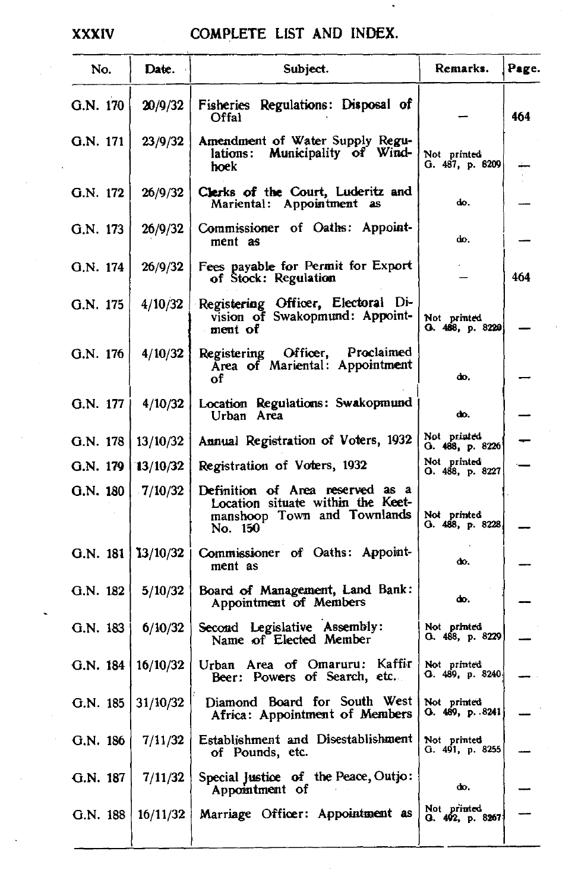### XXXIV COMPLETE LIST AND INDEX.

| Fisheries Regulations: Disposal of<br>G.N. 170<br>20/9/32<br>Offal<br>Amendment of Water Supply Regulations: Municipality of Wind-<br>G.N. 171<br>23/9/32<br>Not printed<br>G. 487, p. 8209<br>hoek<br>Clerks of the Court, Luderitz and<br>G.N. 172<br>26/9/32<br>άo.<br>Mariental: Appointment as<br>Commissioner of Oaths: Appoint-<br>26/9/32<br>G.N. 173<br>do.<br>ment as<br>Fees payable for Permit for Export<br>26/9/32<br>G.N. 174<br>of Stock: Regulation<br>Registering Officer, Electoral Di-<br>G.N. 175<br>4/10/32<br>vision of Swakopmund: Appoint-<br>Not printed<br>G. 488, p. 8229<br>ment of<br>Registering Officer, Proclaimed<br>G.N. 176<br>4/10/32<br>Area of Mariental: Appointment<br>do.<br>оf<br>Location Regulations: Swakopmund<br>G.N. 177<br>4/10/32<br>Urban Area<br>do.<br>Not printed<br>Annual Registration of Voters, 1932<br>13/10/32<br>G.N. 178<br>O. 488, p. 8226<br>Not printed<br>G.N. 179<br>Registration of Voters, 1932<br>13/10/32<br>О. 488, р. 8227<br>G.N. 180<br>Definition of Area reserved as a<br>7/10/32<br>Location situate within the Keet-<br>manshoop Town and Townlands<br>Not printed<br>G. 488, p. 8228<br>No. 150<br>Commissioner of Oaths: Appoint-<br>G.N. 181<br>13/10/32<br>άο.<br>ment as<br>5/10/32<br>Board of Management, Land Bank:<br>G.N. 182<br>do.<br>Appointment of Members<br>Second Legislative Assembly:<br>6/10/32<br>Not printed<br>G.N. 183<br>G. 488, p. 8229<br>Name of Elected Member<br>Urban Area of Omaruru: Kaffir<br>16/10/32<br>G.N. 184<br>Not printed<br>Q. 489, p. 8240<br>Beer: Powers of Search, etc.<br>G.N. 185 $31/10/32$<br>Diamond Board for South West Not printed<br>G. $489, p. .8241$<br>Africa: Appointment of Members | No. | Date. | Subject. | Remarks. | Page. |
|-----------------------------------------------------------------------------------------------------------------------------------------------------------------------------------------------------------------------------------------------------------------------------------------------------------------------------------------------------------------------------------------------------------------------------------------------------------------------------------------------------------------------------------------------------------------------------------------------------------------------------------------------------------------------------------------------------------------------------------------------------------------------------------------------------------------------------------------------------------------------------------------------------------------------------------------------------------------------------------------------------------------------------------------------------------------------------------------------------------------------------------------------------------------------------------------------------------------------------------------------------------------------------------------------------------------------------------------------------------------------------------------------------------------------------------------------------------------------------------------------------------------------------------------------------------------------------------------------------------------------------------------------------------------------------------------------------------------------------------|-----|-------|----------|----------|-------|
|                                                                                                                                                                                                                                                                                                                                                                                                                                                                                                                                                                                                                                                                                                                                                                                                                                                                                                                                                                                                                                                                                                                                                                                                                                                                                                                                                                                                                                                                                                                                                                                                                                                                                                                                   |     |       |          |          | 464   |
|                                                                                                                                                                                                                                                                                                                                                                                                                                                                                                                                                                                                                                                                                                                                                                                                                                                                                                                                                                                                                                                                                                                                                                                                                                                                                                                                                                                                                                                                                                                                                                                                                                                                                                                                   |     |       |          |          |       |
|                                                                                                                                                                                                                                                                                                                                                                                                                                                                                                                                                                                                                                                                                                                                                                                                                                                                                                                                                                                                                                                                                                                                                                                                                                                                                                                                                                                                                                                                                                                                                                                                                                                                                                                                   |     |       |          |          |       |
|                                                                                                                                                                                                                                                                                                                                                                                                                                                                                                                                                                                                                                                                                                                                                                                                                                                                                                                                                                                                                                                                                                                                                                                                                                                                                                                                                                                                                                                                                                                                                                                                                                                                                                                                   |     |       |          |          |       |
|                                                                                                                                                                                                                                                                                                                                                                                                                                                                                                                                                                                                                                                                                                                                                                                                                                                                                                                                                                                                                                                                                                                                                                                                                                                                                                                                                                                                                                                                                                                                                                                                                                                                                                                                   |     |       |          |          | 464   |
|                                                                                                                                                                                                                                                                                                                                                                                                                                                                                                                                                                                                                                                                                                                                                                                                                                                                                                                                                                                                                                                                                                                                                                                                                                                                                                                                                                                                                                                                                                                                                                                                                                                                                                                                   |     |       |          |          |       |
|                                                                                                                                                                                                                                                                                                                                                                                                                                                                                                                                                                                                                                                                                                                                                                                                                                                                                                                                                                                                                                                                                                                                                                                                                                                                                                                                                                                                                                                                                                                                                                                                                                                                                                                                   |     |       |          |          |       |
|                                                                                                                                                                                                                                                                                                                                                                                                                                                                                                                                                                                                                                                                                                                                                                                                                                                                                                                                                                                                                                                                                                                                                                                                                                                                                                                                                                                                                                                                                                                                                                                                                                                                                                                                   |     |       |          |          |       |
|                                                                                                                                                                                                                                                                                                                                                                                                                                                                                                                                                                                                                                                                                                                                                                                                                                                                                                                                                                                                                                                                                                                                                                                                                                                                                                                                                                                                                                                                                                                                                                                                                                                                                                                                   |     |       |          |          |       |
|                                                                                                                                                                                                                                                                                                                                                                                                                                                                                                                                                                                                                                                                                                                                                                                                                                                                                                                                                                                                                                                                                                                                                                                                                                                                                                                                                                                                                                                                                                                                                                                                                                                                                                                                   |     |       |          |          |       |
|                                                                                                                                                                                                                                                                                                                                                                                                                                                                                                                                                                                                                                                                                                                                                                                                                                                                                                                                                                                                                                                                                                                                                                                                                                                                                                                                                                                                                                                                                                                                                                                                                                                                                                                                   |     |       |          |          |       |
|                                                                                                                                                                                                                                                                                                                                                                                                                                                                                                                                                                                                                                                                                                                                                                                                                                                                                                                                                                                                                                                                                                                                                                                                                                                                                                                                                                                                                                                                                                                                                                                                                                                                                                                                   |     |       |          |          |       |
|                                                                                                                                                                                                                                                                                                                                                                                                                                                                                                                                                                                                                                                                                                                                                                                                                                                                                                                                                                                                                                                                                                                                                                                                                                                                                                                                                                                                                                                                                                                                                                                                                                                                                                                                   |     |       |          |          |       |
|                                                                                                                                                                                                                                                                                                                                                                                                                                                                                                                                                                                                                                                                                                                                                                                                                                                                                                                                                                                                                                                                                                                                                                                                                                                                                                                                                                                                                                                                                                                                                                                                                                                                                                                                   |     |       |          |          |       |
|                                                                                                                                                                                                                                                                                                                                                                                                                                                                                                                                                                                                                                                                                                                                                                                                                                                                                                                                                                                                                                                                                                                                                                                                                                                                                                                                                                                                                                                                                                                                                                                                                                                                                                                                   |     |       |          |          |       |
|                                                                                                                                                                                                                                                                                                                                                                                                                                                                                                                                                                                                                                                                                                                                                                                                                                                                                                                                                                                                                                                                                                                                                                                                                                                                                                                                                                                                                                                                                                                                                                                                                                                                                                                                   |     |       |          |          |       |
| Establishment and Disestablishment<br>G.N. 186<br>7/11/32<br>Not printed<br>G. 491, p. 8255<br>of Pounds, etc.                                                                                                                                                                                                                                                                                                                                                                                                                                                                                                                                                                                                                                                                                                                                                                                                                                                                                                                                                                                                                                                                                                                                                                                                                                                                                                                                                                                                                                                                                                                                                                                                                    |     |       |          |          |       |
| Special Justice of the Peace, Outjo:<br>7/11/32<br>G.N. 187<br>đο,<br>Appointment of                                                                                                                                                                                                                                                                                                                                                                                                                                                                                                                                                                                                                                                                                                                                                                                                                                                                                                                                                                                                                                                                                                                                                                                                                                                                                                                                                                                                                                                                                                                                                                                                                                              |     |       |          |          |       |
| Not printed<br>G. 492, p. 8267<br>Marriage Officer: Appointment as<br>16/11/32<br>G.N. 188                                                                                                                                                                                                                                                                                                                                                                                                                                                                                                                                                                                                                                                                                                                                                                                                                                                                                                                                                                                                                                                                                                                                                                                                                                                                                                                                                                                                                                                                                                                                                                                                                                        |     |       |          |          |       |